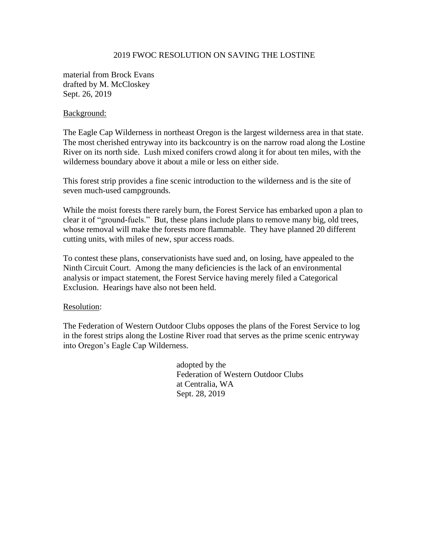#### 2019 FWOC RESOLUTION ON SAVING THE LOSTINE

material from Brock Evans drafted by M. McCloskey Sept. 26, 2019

## Background:

The Eagle Cap Wilderness in northeast Oregon is the largest wilderness area in that state. The most cherished entryway into its backcountry is on the narrow road along the Lostine River on its north side. Lush mixed conifers crowd along it for about ten miles, with the wilderness boundary above it about a mile or less on either side.

This forest strip provides a fine scenic introduction to the wilderness and is the site of seven much-used campgrounds.

While the moist forests there rarely burn, the Forest Service has embarked upon a plan to clear it of "ground-fuels." But, these plans include plans to remove many big, old trees, whose removal will make the forests more flammable. They have planned 20 different cutting units, with miles of new, spur access roads.

To contest these plans, conservationists have sued and, on losing, have appealed to the Ninth Circuit Court. Among the many deficiencies is the lack of an environmental analysis or impact statement, the Forest Service having merely filed a Categorical Exclusion. Hearings have also not been held.

# Resolution:

The Federation of Western Outdoor Clubs opposes the plans of the Forest Service to log in the forest strips along the Lostine River road that serves as the prime scenic entryway into Oregon's Eagle Cap Wilderness.

> adopted by the Federation of Western Outdoor Clubs at Centralia, WA Sept. 28, 2019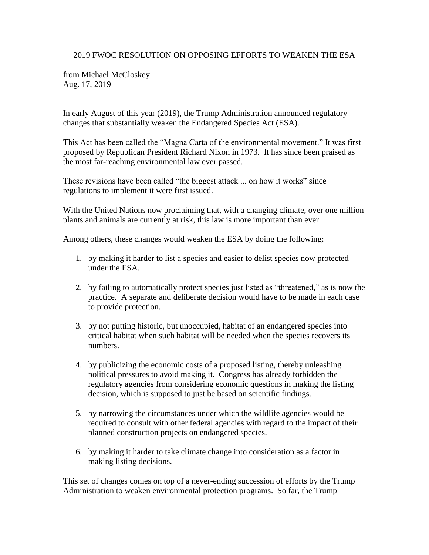# 2019 FWOC RESOLUTION ON OPPOSING EFFORTS TO WEAKEN THE ESA

from Michael McCloskey Aug. 17, 2019

In early August of this year (2019), the Trump Administration announced regulatory changes that substantially weaken the Endangered Species Act (ESA).

This Act has been called the "Magna Carta of the environmental movement." It was first proposed by Republican President Richard Nixon in 1973. It has since been praised as the most far-reaching environmental law ever passed.

These revisions have been called "the biggest attack ... on how it works" since regulations to implement it were first issued.

With the United Nations now proclaiming that, with a changing climate, over one million plants and animals are currently at risk, this law is more important than ever.

Among others, these changes would weaken the ESA by doing the following:

- 1. by making it harder to list a species and easier to delist species now protected under the ESA.
- 2. by failing to automatically protect species just listed as "threatened," as is now the practice. A separate and deliberate decision would have to be made in each case to provide protection.
- 3. by not putting historic, but unoccupied, habitat of an endangered species into critical habitat when such habitat will be needed when the species recovers its numbers.
- 4. by publicizing the economic costs of a proposed listing, thereby unleashing political pressures to avoid making it. Congress has already forbidden the regulatory agencies from considering economic questions in making the listing decision, which is supposed to just be based on scientific findings.
- 5. by narrowing the circumstances under which the wildlife agencies would be required to consult with other federal agencies with regard to the impact of their planned construction projects on endangered species.
- 6. by making it harder to take climate change into consideration as a factor in making listing decisions.

This set of changes comes on top of a never-ending succession of efforts by the Trump Administration to weaken environmental protection programs. So far, the Trump